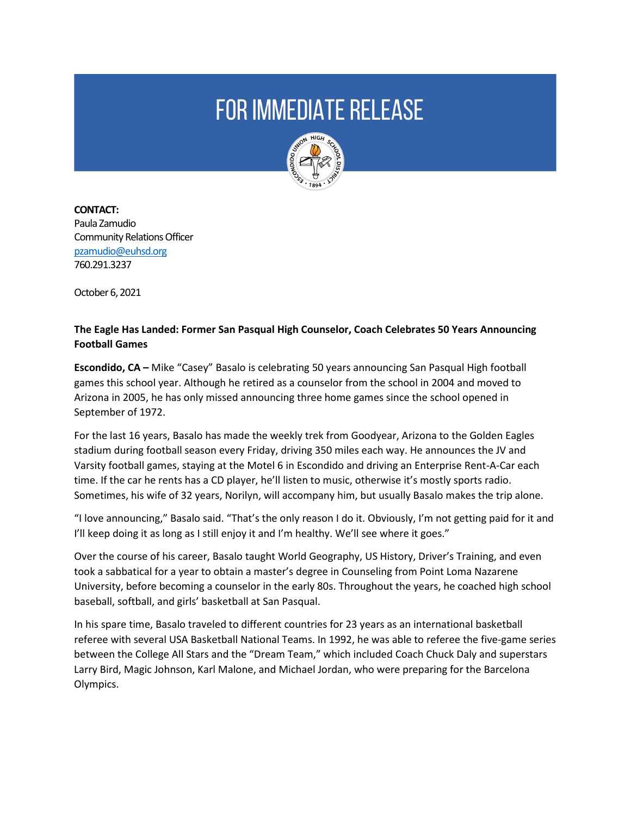## **FOR IMMEDIATE RELEASE**



**CONTACT:**  Paula Zamudio Community Relations Officer [pzamudio@euhsd.org](mailto:pzamudio@euhsd.org) 760.291.3237

October 6, 2021

## **The Eagle Has Landed: Former San Pasqual High Counselor, Coach Celebrates 50 Years Announcing Football Games**

**Escondido, CA –** Mike "Casey" Basalo is celebrating 50 years announcing San Pasqual High football games this school year. Although he retired as a counselor from the school in 2004 and moved to Arizona in 2005, he has only missed announcing three home games since the school opened in September of 1972.

For the last 16 years, Basalo has made the weekly trek from Goodyear, Arizona to the Golden Eagles stadium during football season every Friday, driving 350 miles each way. He announces the JV and Varsity football games, staying at the Motel 6 in Escondido and driving an Enterprise Rent-A-Car each time. If the car he rents has a CD player, he'll listen to music, otherwise it's mostly sports radio. Sometimes, his wife of 32 years, Norilyn, will accompany him, but usually Basalo makes the trip alone.

"I love announcing," Basalo said. "That's the only reason I do it. Obviously, I'm not getting paid for it and I'll keep doing it as long as I still enjoy it and I'm healthy. We'll see where it goes."

Over the course of his career, Basalo taught World Geography, US History, Driver's Training, and even took a sabbatical for a year to obtain a master's degree in Counseling from Point Loma Nazarene University, before becoming a counselor in the early 80s. Throughout the years, he coached high school baseball, softball, and girls' basketball at San Pasqual.

In his spare time, Basalo traveled to different countries for 23 years as an international basketball referee with several USA Basketball National Teams. In 1992, he was able to referee the five-game series between the College All Stars and the "Dream Team," which included Coach Chuck Daly and superstars Larry Bird, Magic Johnson, Karl Malone, and Michael Jordan, who were preparing for the Barcelona Olympics.